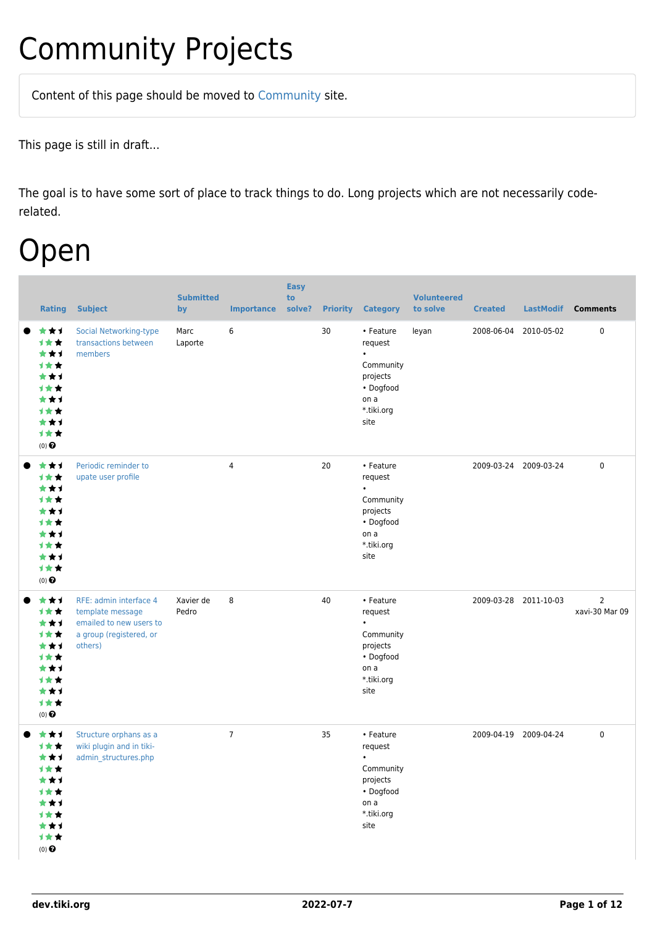# Community Projects

Content of this page should be [moved](https://dev.tiki.org/tiki-editpage.php?page=moved) to [Community](http://tiki.org/Community) site.

This page is still in draft...

The goal is to have some sort of place to track things to do. Long projects which are not necessarily coderelated.

### Open

| <b>Rating</b>                                                                                            | <b>Subject</b>                                                                                              | <b>Submitted</b><br>by | <b>Importance</b> | <b>Easy</b><br>to<br>solve? | <b>Priority</b> | <b>Category</b>                                                                                       | <b>Volunteered</b><br>to solve | <b>Created</b>        |                       | LastModif Comments               |
|----------------------------------------------------------------------------------------------------------|-------------------------------------------------------------------------------------------------------------|------------------------|-------------------|-----------------------------|-----------------|-------------------------------------------------------------------------------------------------------|--------------------------------|-----------------------|-----------------------|----------------------------------|
| ***<br>***<br>***<br><b>1**</b><br>***<br><b>1**</b><br>***<br><b>1★★</b><br>***<br>1**<br>$(0)$ $\odot$ | <b>Social Networking-type</b><br>transactions between<br>members                                            | Marc<br>Laporte        | 6                 |                             | 30              | • Feature<br>request<br>$\bullet$<br>Community<br>projects<br>• Dogfood<br>on a<br>*.tiki.org<br>site | leyan                          |                       | 2008-06-04 2010-05-02 | $\pmb{0}$                        |
| ***<br>1★★<br>***<br>1★★<br>***<br>1★★<br>***<br>1**<br>***<br>1★★<br>$(0)$ $\odot$                      | Periodic reminder to<br>upate user profile                                                                  |                        | $\overline{4}$    |                             | 20              | • Feature<br>request<br>Community<br>projects<br>• Dogfood<br>on a<br>*.tiki.org<br>site              |                                | 2009-03-24 2009-03-24 |                       | $\mathbf 0$                      |
| ***<br><b>1**</b><br>***<br><b>1**</b><br>***<br>1★★<br>***<br>1★★<br>***<br>计女女<br>$(0)$ $\odot$        | RFE: admin interface 4<br>template message<br>emailed to new users to<br>a group (registered, or<br>others) | Xavier de<br>Pedro     | 8                 |                             | 40              | • Feature<br>request<br>$\bullet$<br>Community<br>projects<br>• Dogfood<br>on a<br>*.tiki.org<br>site |                                |                       | 2009-03-28 2011-10-03 | $\overline{2}$<br>xavi-30 Mar 09 |
| ***<br>1★★<br>***<br><b>1**</b><br>***<br>1**<br>***<br><b>1**</b><br>***<br>计女女<br>$(0)$ $\odot$        | Structure orphans as a<br>wiki plugin and in tiki-<br>admin structures.php                                  |                        | $\overline{7}$    |                             | 35              | • Feature<br>request<br>$\bullet$<br>Community<br>projects<br>• Dogfood<br>on a<br>*.tiki.org<br>site |                                | 2009-04-19 2009-04-24 |                       | $\mathbf 0$                      |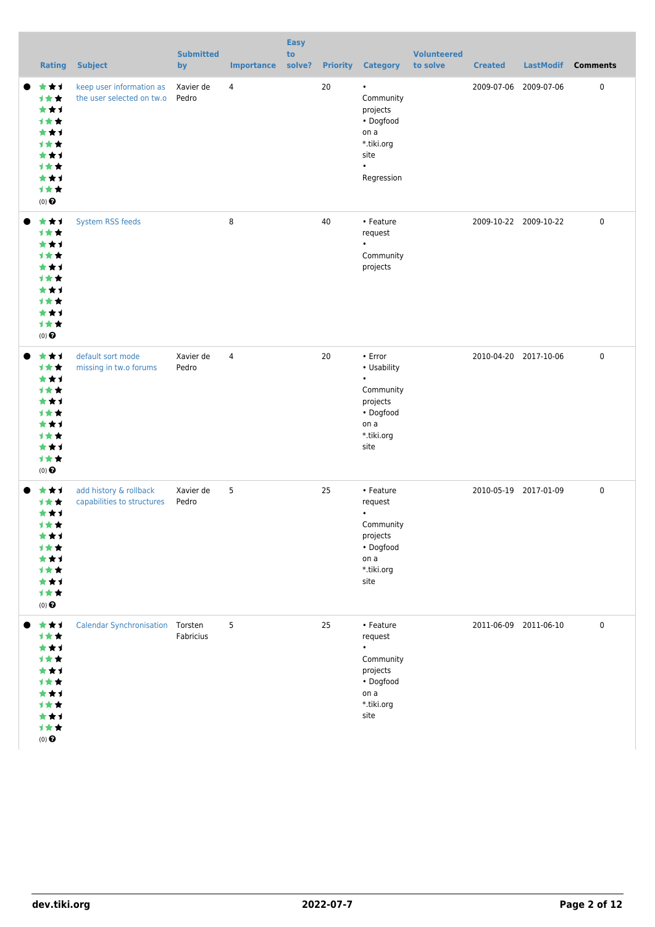| <b>Rating</b>                                                                                                      | <b>Subject</b>                                        | <b>Submitted</b><br>by | <b>Importance</b> | <b>Easy</b><br>to<br>solve? | <b>Priority</b> | <b>Category</b>                                                                                               | <b>Volunteered</b><br>to solve | <b>Created</b>        | LastModif Comments |             |
|--------------------------------------------------------------------------------------------------------------------|-------------------------------------------------------|------------------------|-------------------|-----------------------------|-----------------|---------------------------------------------------------------------------------------------------------------|--------------------------------|-----------------------|--------------------|-------------|
| ***<br><b>1**</b><br>***<br><b>1**</b><br>***<br><b>1**</b><br>***<br><b>1**</b><br>***<br>1**<br>$(0)$ $\bigodot$ | keep user information as<br>the user selected on tw.o | Xavier de<br>Pedro     | 4                 |                             | 20              | $\bullet$<br>Community<br>projects<br>• Dogfood<br>on a<br>*.tiki.org<br>site<br>$\bullet$<br>Regression      |                                | 2009-07-06 2009-07-06 |                    | $\pmb{0}$   |
| ***<br><b>1**</b><br>***<br><b>1**</b><br>***<br>计女女<br>***<br>计女女<br>***<br>1★★<br>(0) $\pmb{\Theta}$             | System RSS feeds                                      |                        | 8                 |                             | 40              | • Feature<br>request<br>$\bullet$<br>Community<br>projects                                                    |                                | 2009-10-22 2009-10-22 |                    | $\mathbf 0$ |
| ***<br>1★★<br>***<br><b>1**</b><br>***<br><b>1**</b><br>***<br><b>1**</b><br>***<br>1★★<br>$(0)$ $\odot$           | default sort mode<br>missing in tw.o forums           | Xavier de<br>Pedro     | 4                 |                             | $20\,$          | $\cdot$ Error<br>• Usability<br>$\bullet$<br>Community<br>projects<br>• Dogfood<br>on a<br>*.tiki.org<br>site |                                | 2010-04-20 2017-10-06 |                    | $\mathbf 0$ |
| ***<br>1**<br>***<br>计女女<br>***<br>计女女<br>***<br>计女女<br>***<br>***<br>$(0)$<br>$\pmb{\Theta}$                      | add history & rollback<br>capabilities to structures  | Xavier de<br>Pedro     | 5                 |                             | 25              | • Feature<br>request<br>$\bullet$<br>Community<br>projects<br>• Dogfood<br>on a<br>*.tiki.org<br>site         |                                | 2010-05-19 2017-01-09 |                    | $\mathbf 0$ |
| ***<br>计女女<br>***<br>计女女<br>***<br>计女女<br>***<br>计女女<br>***<br>计女女                                                 | Calendar Synchronisation Torsten                      | Fabricius              | 5                 |                             | 25              | • Feature<br>request<br>$\bullet$<br>Community<br>projects<br>• Dogfood<br>on a<br>*.tiki.org<br>site         |                                | 2011-06-09 2011-06-10 |                    | $\pmb{0}$   |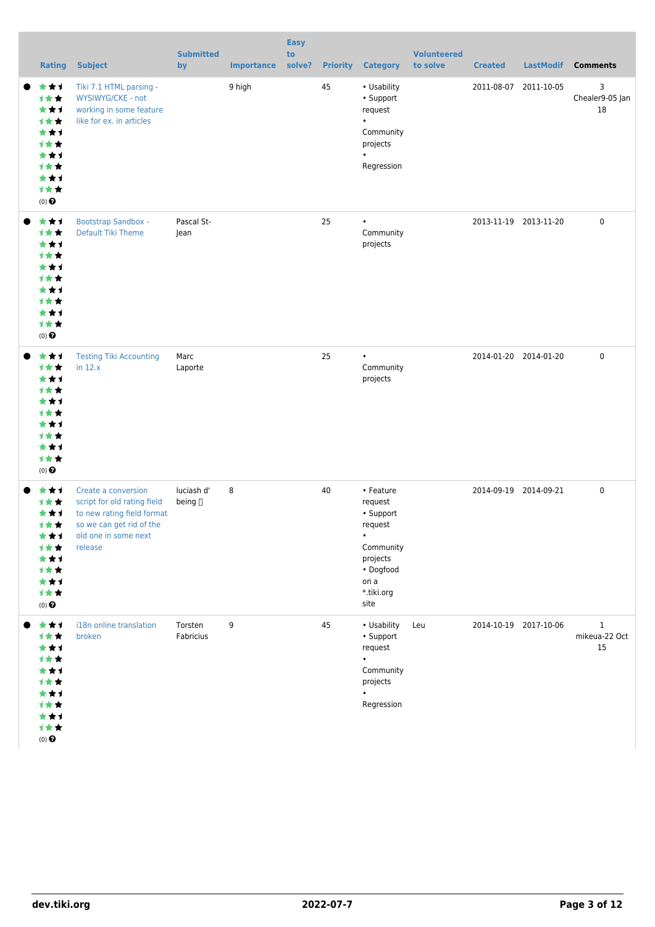| <b>Rating</b>                                                                                               | <b>Subject</b>                                                                                                                                  | <b>Submitted</b><br>by           | <b>Importance</b> | <b>Easy</b><br>to<br>solve? | <b>Priority</b> | <b>Category</b>                                                                                                               | <b>Volunteered</b><br>to solve | <b>Created</b> | <b>LastModif</b>      | <b>Comments</b>                     |
|-------------------------------------------------------------------------------------------------------------|-------------------------------------------------------------------------------------------------------------------------------------------------|----------------------------------|-------------------|-----------------------------|-----------------|-------------------------------------------------------------------------------------------------------------------------------|--------------------------------|----------------|-----------------------|-------------------------------------|
| ★★1<br>1★★<br>***<br>计女女<br>***<br>1★★<br>***<br>计女女<br>***<br>1★★<br>$(0)$ $\odot$                         | Tiki 7.1 HTML parsing -<br>WYSIWYG/CKE - not<br>working in some feature<br>like for ex. in articles                                             |                                  | 9 high            |                             | 45              | • Usability<br>• Support<br>request<br>$\bullet$<br>Community<br>projects<br>$\bullet$<br>Regression                          |                                | 2011-08-07     | 2011-10-05            | 3<br>Chealer9-05 Jan<br>18          |
| ***<br>1★★<br>***<br><b>1**</b><br>***<br><b>1**</b><br>***<br>***<br>***<br>1★★<br>$(0)$ $\odot$           | <b>Bootstrap Sandbox -</b><br>Default Tiki Theme                                                                                                | Pascal St-<br>Jean               |                   |                             | 25              | $\bullet$<br>Community<br>projects                                                                                            |                                |                | 2013-11-19 2013-11-20 | $\pmb{0}$                           |
| ***<br>1★★<br>***<br><b>1**</b><br>***<br>计女女<br>***<br>计女女<br>***<br>1★★<br>$(0)$ $\odot$                  | <b>Testing Tiki Accounting</b><br>in $12.x$                                                                                                     | Marc<br>Laporte                  |                   |                             | 25              | $\bullet$<br>Community<br>projects                                                                                            |                                |                | 2014-01-20 2014-01-20 | $\mathbf 0$                         |
| ***<br><b>1**</b><br>***<br>计女女<br>***<br><b>1**</b><br>***<br>计女女<br>***<br>计女女<br>$(0)$<br>$\pmb{\Theta}$ | Create a conversion<br>script for old rating field<br>to new rating field format<br>so we can get rid of the<br>old one in some next<br>release | luciash d'<br>being <sub>□</sub> | 8                 |                             | 40              | • Feature<br>request<br>• Support<br>request<br>$\bullet$<br>Community<br>projects<br>• Dogfood<br>on a<br>*.tiki.org<br>site |                                |                | 2014-09-19 2014-09-21 | $\pmb{0}$                           |
| ***<br>1★★<br>***<br>计女女<br>***<br>计女女<br>***<br>计女女<br>***<br>计女女<br>$(0)$<br>$\pmb{\Theta}$               | i18n online translation<br>broken                                                                                                               | Torsten<br>Fabricius             | 9                 |                             | 45              | • Usability<br>• Support<br>request<br>$\bullet$<br>Community<br>projects<br>$\bullet$<br>Regression                          | Leu                            |                | 2014-10-19 2017-10-06 | $\mathbf{1}$<br>mikeua-22 Oct<br>15 |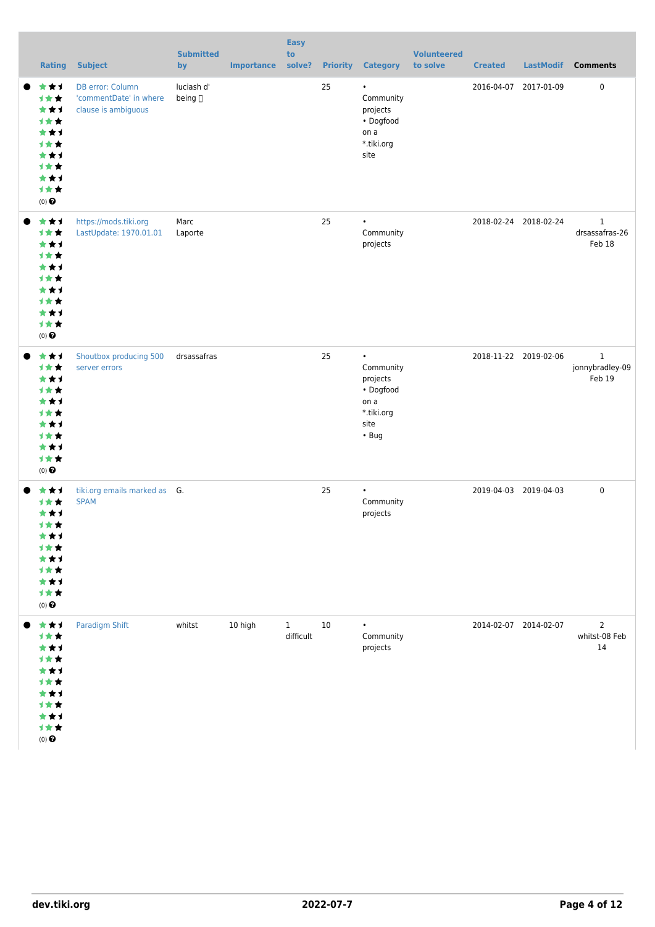| <b>Rating</b>                                                                                                   | <b>Subject</b>                                                           | <b>Submitted</b><br>by | <b>Importance</b> | <b>Easy</b><br>to<br>solve? |    | <b>Priority Category</b>                                                                     | <b>Volunteered</b><br>to solve | <b>Created</b>        | <b>LastModif</b>      | <b>Comments</b>                           |
|-----------------------------------------------------------------------------------------------------------------|--------------------------------------------------------------------------|------------------------|-------------------|-----------------------------|----|----------------------------------------------------------------------------------------------|--------------------------------|-----------------------|-----------------------|-------------------------------------------|
| ***<br>1★★<br>***<br><b>1**</b><br>***<br>***<br>***<br><b>1**</b><br>***<br>1★★<br>$(0)$ $\odot$               | <b>DB</b> error: Column<br>'commentDate' in where<br>clause is ambiguous | luciash d'<br>being [] |                   |                             | 25 | $\bullet$<br>Community<br>projects<br>• Dogfood<br>on a<br>*.tiki.org<br>site                |                                | 2016-04-07 2017-01-09 |                       | $\pmb{0}$                                 |
| ***<br>1★★<br>***<br><b>1**</b><br>***<br><b>1**</b><br>***<br><b>1**</b><br>***<br>1★★<br>$(0)$ $\odot$        | https://mods.tiki.org<br>LastUpdate: 1970.01.01                          | Marc<br>Laporte        |                   |                             | 25 | $\bullet$<br>Community<br>projects                                                           |                                | 2018-02-24 2018-02-24 |                       | $\mathbf{1}$<br>drsassafras-26<br>Feb 18  |
| ***<br>1★★<br>***<br><b>1**</b><br>***<br><b>1**</b><br>***<br><b>1**</b><br>***<br>1★★<br>$(0)$ $\odot$        | Shoutbox producing 500<br>server errors                                  | drsassafras            |                   |                             | 25 | $\bullet$<br>Community<br>projects<br>• Dogfood<br>on a<br>*.tiki.org<br>site<br>$\cdot$ Bug |                                |                       | 2018-11-22 2019-02-06 | $\mathbf{1}$<br>jonnybradley-09<br>Feb 19 |
| ***<br>1 * *<br>***<br><b>1**</b><br>***<br><b>1 * *</b><br>***<br>计女女<br>***<br>计女女<br>$(0)$<br>$\pmb{\Theta}$ | tiki.org emails marked as G.<br><b>SPAM</b>                              |                        |                   |                             | 25 | $\bullet$<br>Community<br>projects                                                           |                                | 2019-04-03 2019-04-03 |                       | 0                                         |
| 食食手<br>计女女<br>***<br>1★★<br>***<br>1★★<br>***<br>1★★<br>***<br>计女女<br>$(0)$ $\bigodot$                          | Paradigm Shift                                                           | whitst                 | 10 high           | $\mathbf{1}$<br>difficult   | 10 | $\bullet$<br>Community<br>projects                                                           |                                | 2014-02-07 2014-02-07 |                       | $\overline{2}$<br>whitst-08 Feb<br>14     |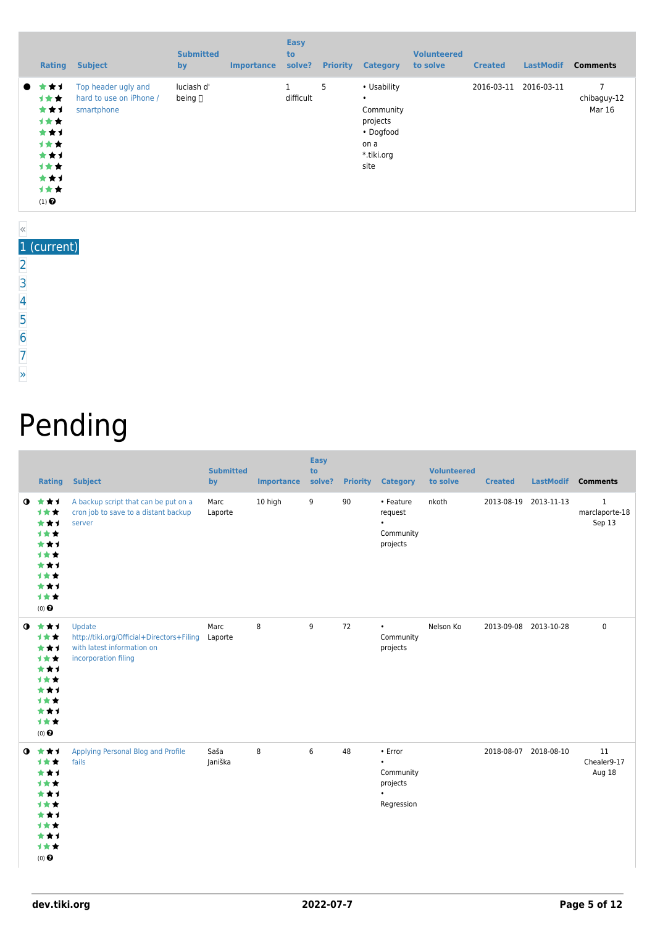|                                                                                           | Rating | <b>Subject</b>                                               | <b>Submitted</b><br>by       | <b>Importance</b> | <b>Easy</b><br>to<br>solve? | <b>Priority</b> | <b>Category</b>                                                                              | <b>Volunteered</b><br>to solve | <b>Created</b> | <b>LastModif</b> | <b>Comments</b>            |
|-------------------------------------------------------------------------------------------|--------|--------------------------------------------------------------|------------------------------|-------------------|-----------------------------|-----------------|----------------------------------------------------------------------------------------------|--------------------------------|----------------|------------------|----------------------------|
| $\bullet$<br>计女女<br>***<br>计女女<br>***<br>计女女<br>***<br>计女女<br>***<br>计女女<br>$(1)$ $\odot$ | * * 1  | Top header ugly and<br>hard to use on iPhone /<br>smartphone | luciash d'<br>being $\sqcap$ |                   | difficult                   | 5               | • Usability<br>$\bullet$<br>Community<br>projects<br>• Dogfood<br>on a<br>*.tiki.org<br>site |                                | 2016-03-11     | 2016-03-11       | 7<br>chibaguy-12<br>Mar 16 |

#### « 1 (current)

- [2](https://dev.tiki.org/tiki-print.php?tr_sort_mode1=f_101_asc&page=Community+Projects&tr_offset1=20)
- [3](https://dev.tiki.org/tiki-print.php?tr_sort_mode1=f_101_asc&page=Community+Projects&tr_offset1=40)
- $\frac{1}{4}$  $\frac{1}{4}$  $\frac{1}{4}$
- 
- [5](https://dev.tiki.org/tiki-print.php?tr_sort_mode1=f_101_asc&page=Community+Projects&tr_offset1=80)
- [6](https://dev.tiki.org/tiki-print.php?tr_sort_mode1=f_101_asc&page=Community+Projects&tr_offset1=100)
- 
- [7](https://dev.tiki.org/tiki-print.php?tr_sort_mode1=f_101_asc&page=Community+Projects&tr_offset1=120)

#### [»](https://dev.tiki.org/tiki-print.php?tr_sort_mode1=f_101_asc&page=Community+Projects&tr_offset1=20)

# Pending

|           | <b>Rating</b>                                                                                         | <b>Subject</b>                                                                                                    | <b>Submitted</b><br>by | <b>Importance</b> | <b>Easy</b><br>to<br>solve? | <b>Priority</b> | <b>Category</b>                                                          | <b>Volunteered</b><br>to solve | <b>Created</b> | <b>LastModif</b>      | <b>Comments</b>                          |
|-----------|-------------------------------------------------------------------------------------------------------|-------------------------------------------------------------------------------------------------------------------|------------------------|-------------------|-----------------------------|-----------------|--------------------------------------------------------------------------|--------------------------------|----------------|-----------------------|------------------------------------------|
|           | $0 \star \star \star$<br>1★★<br>***<br>***<br>***<br>***<br>***<br>1★★<br>***<br>1★★<br>$(0)$ $\odot$ | A backup script that can be put on a<br>cron job to save to a distant backup<br>server                            | Marc<br>Laporte        | 10 high           | 9                           | 90              | • Feature<br>request<br>$\bullet$<br>Community<br>projects               | nkoth                          |                | 2013-08-19 2013-11-13 | $\mathbf{1}$<br>marclaporte-18<br>Sep 13 |
|           | $0$ $*$ $*$ $*$<br>计女女<br>***<br>1★★<br>***<br>***<br>***<br>***<br>***<br>1★★<br>$(0)$ $\Theta$      | Update<br>http://tiki.org/Official+Directors+Filing Laporte<br>with latest information on<br>incorporation filing | Marc                   | 8                 | 9                           | 72              | $\bullet$<br>Community<br>projects                                       | Nelson Ko                      |                | 2013-09-08 2013-10-28 | $\mathbf 0$                              |
| $\bullet$ | ***<br>1★★<br>***<br>***<br>***<br>1★★<br>***<br>1女女<br>***<br>***<br>$(0)$ $\odot$                   | Applying Personal Blog and Profile<br>fails                                                                       | Saša<br>Janiška        | 8                 | 6                           | 48              | • Error<br>$\bullet$<br>Community<br>projects<br>$\bullet$<br>Regression |                                |                | 2018-08-07 2018-08-10 | 11<br>Chealer9-17<br>Aug 18              |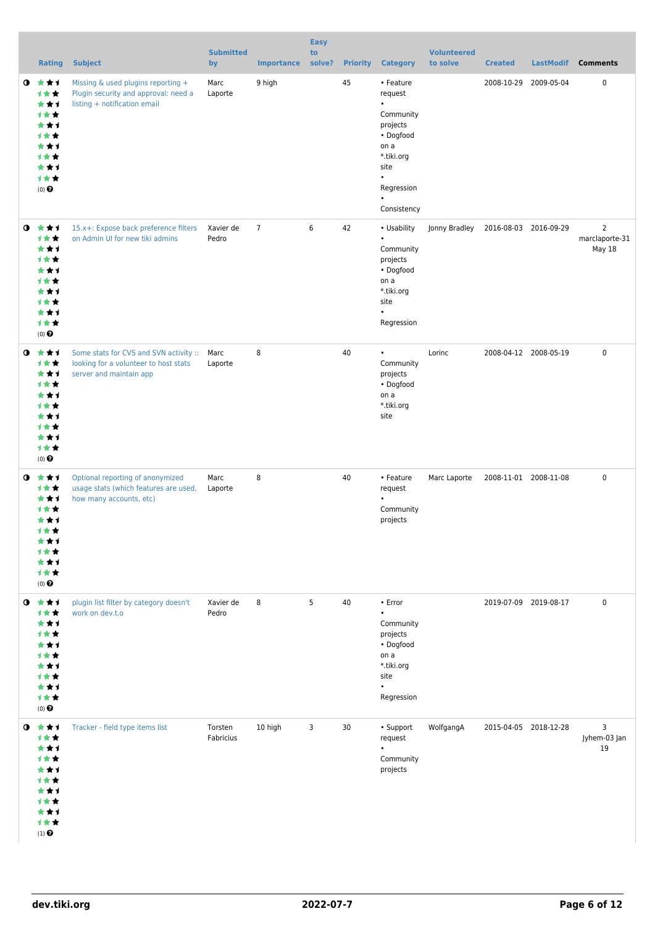|           | <b>Rating</b>                                                                                   | <b>Subject</b>                                                                                                  | <b>Submitted</b><br>by | <b>Importance</b> | <b>Easy</b><br>to<br>solve? |    | <b>Priority Category</b>                                                                                                                                     | <b>Volunteered</b><br>to solve | <b>Created</b> | <b>LastModif</b>      | <b>Comments</b>                            |
|-----------|-------------------------------------------------------------------------------------------------|-----------------------------------------------------------------------------------------------------------------|------------------------|-------------------|-----------------------------|----|--------------------------------------------------------------------------------------------------------------------------------------------------------------|--------------------------------|----------------|-----------------------|--------------------------------------------|
| $\bullet$ | ***<br>计女女<br>***<br>计女女<br>***<br>计女女<br>***<br>计女女<br>***<br>计女女<br>$(0)$ $\odot$             | Missing & used plugins reporting +<br>Plugin security and approval: need a<br>listing + notification email      | Marc<br>Laporte        | 9 high            |                             | 45 | • Feature<br>request<br>$\bullet$<br>Community<br>projects<br>• Dogfood<br>on a<br>*.tiki.org<br>site<br>$\bullet$<br>Regression<br>$\bullet$<br>Consistency |                                |                | 2008-10-29 2009-05-04 | 0                                          |
| $\bullet$ | ***<br><b>1**</b><br>***<br>计女女<br>***<br>计女女<br>★★1<br>1★★<br>***<br>计女女<br>$(0)$ $\odot$      | 15.x+: Expose back preference filters<br>on Admin UI for new tiki admins                                        | Xavier de<br>Pedro     | $\overline{7}$    | 6                           | 42 | • Usability<br>$\bullet$<br>Community<br>projects<br>• Dogfood<br>on a<br>*.tiki.org<br>site<br>$\bullet$<br>Regression                                      | Jonny Bradley                  |                | 2016-08-03 2016-09-29 | $\overline{2}$<br>marclaporte-31<br>May 18 |
| $\bullet$ | ***<br>计女女<br>***<br>计女女<br>***<br><b>1**</b><br>***<br>1★★<br>***<br>计女女<br>$(0)$ $\odot$      | Some stats for CVS and SVN activity :: Marc<br>looking for a volunteer to host stats<br>server and maintain app | Laporte                | 8                 |                             | 40 | $\bullet$<br>Community<br>projects<br>• Dogfood<br>on a<br>*.tiki.org<br>site                                                                                | Lorinc                         |                | 2008-04-12 2008-05-19 | 0                                          |
| $\bullet$ | ***<br>计女女<br>***<br>1 * *<br>***<br>计女女<br>***<br>1★★<br>★★1<br>计女女<br>$(0)$ $\odot$           | Optional reporting of anonymized<br>usage stats (which features are used,<br>how many accounts, etc)            | Marc<br>Laporte        | 8                 |                             | 40 | • Feature<br>request<br>$\bullet$<br>Community<br>projects                                                                                                   | Marc Laporte                   |                | 2008-11-01 2008-11-08 | 0                                          |
| $\bullet$ | ***<br>计女女<br>***<br>计女女<br>***<br>计女女<br>***<br>计女女<br>***<br>计女女<br>$(0)$ $\odot$             | plugin list filter by category doesn't<br>work on dev.t.o                                                       | Xavier de<br>Pedro     | 8                 | 5                           | 40 | • Error<br>$\bullet$<br>Community<br>projects<br>• Dogfood<br>on a<br>*.tiki.org<br>site<br>$\bullet$<br>Regression                                          |                                |                | 2019-07-09 2019-08-17 | $\mathbf 0$                                |
|           | $0$ $*$ $*$ $*$<br>***<br>***<br>计女女<br>***<br>计女女<br>***<br>1★★<br>***<br>计女女<br>$(1)$ $\odot$ | Tracker - field type items list                                                                                 | Torsten<br>Fabricius   | 10 high           | 3                           | 30 | • Support<br>request<br>$\bullet$<br>Community<br>projects                                                                                                   | WolfgangA                      |                | 2015-04-05 2018-12-28 | 3<br>Jyhem-03 Jan<br>19                    |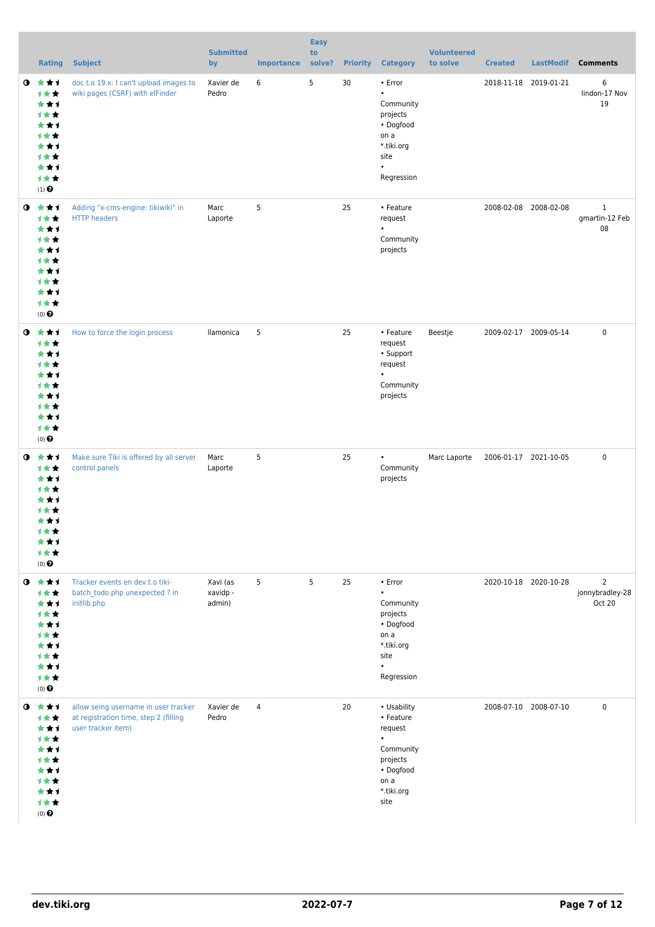|           | <b>Rating</b>                                                                                             | <b>Subject</b>                                                                                      | <b>Submitted</b><br>by         | <b>Importance</b> | <b>Easy</b><br>to<br>solve? | <b>Priority</b> | <b>Category</b>                                                                                                      | <b>Volunteered</b><br>to solve | <b>Created</b>        | <b>LastModif</b>      | <b>Comments</b>                             |
|-----------|-----------------------------------------------------------------------------------------------------------|-----------------------------------------------------------------------------------------------------|--------------------------------|-------------------|-----------------------------|-----------------|----------------------------------------------------------------------------------------------------------------------|--------------------------------|-----------------------|-----------------------|---------------------------------------------|
| $\bullet$ | 食食す<br>计女女<br>***<br>计女女<br>***<br>计女女<br>***<br>计女女<br>***<br>计女女<br>$(1)$ <sup><math>\odot</math></sup> | doc.t.o 19.x: I can't upload images to<br>wiki pages (CSRF) with elFinder                           | Xavier de<br>Pedro             | 6                 | 5                           | 30              | • Error<br>$\bullet$<br>Community<br>projects<br>• Dogfood<br>on a<br>*.tiki.org<br>site<br>$\bullet$<br>Regression  |                                | 2018-11-18 2019-01-21 |                       | 6<br>lindon-17 Nov<br>19                    |
| $\bullet$ | 大女子<br>计女女<br>***<br>计女女<br>***<br>计女女<br>***<br>计女女<br>***<br>计女女<br>$(0)$ $\Theta$                      | Adding "x-cms-engine: tikiwiki" in<br><b>HTTP headers</b>                                           | Marc<br>Laporte                | 5                 |                             | 25              | • Feature<br>request<br>$\bullet$<br>Community<br>projects                                                           |                                | 2008-02-08 2008-02-08 |                       | $\mathbf{1}$<br>gmartin-12 Feb<br>08        |
| $\bullet$ | 大大大<br>1★★<br>***<br>计女女<br>***<br>计女女<br>***<br>计女女<br>***<br>计女女<br>$(0)$ $\odot$                       | How to force the login process                                                                      | llamonica                      | 5                 |                             | 25              | • Feature<br>request<br>• Support<br>request<br>$\bullet$<br>Community<br>projects                                   | Beestje                        |                       | 2009-02-17 2009-05-14 | $\mathbf 0$                                 |
| $\bullet$ | 大大才<br>计女女<br>***<br>计女女<br>★★↑<br>计女女<br>***<br>计女女<br>***<br>计女女<br>$(0)$ $\Theta$                      | Make sure Tiki is offered by all server<br>control panels                                           | Marc<br>Laporte                | 5                 |                             | 25              | $\bullet$<br>Community<br>projects                                                                                   | Marc Laporte                   | 2006-01-17 2021-10-05 |                       | $\pmb{0}$                                   |
| $\bullet$ | 大女子<br>计女女<br>***<br>计女女<br>***<br><b>1**</b><br>***<br>计女女<br>***<br>计女女<br>$(0)$ $\odot$                | Tracker events en dev.t.o tiki-<br>batch todo.php unexpected ? in<br>initlib.php                    | Xavi (as<br>xavidp -<br>admin) | 5                 | 5                           | 25              | • Error<br>$\bullet$<br>Community<br>projects<br>• Dogfood<br>on a<br>*.tiki.org<br>site<br>$\bullet$<br>Regression  |                                |                       | 2020-10-18 2020-10-28 | $\overline{2}$<br>jonnybradley-28<br>Oct 20 |
| $\bullet$ | ***<br>计女女<br>***<br>计女女<br>***<br>计女女<br>***<br>计女女<br>***<br>计女女<br>$(0)$ <sup>O</sup>                  | allow seing username in user tracker<br>at registration time, step 2 (filling<br>user tracker item) | Xavier de<br>Pedro             | 4                 |                             | 20              | • Usability<br>• Feature<br>request<br>$\bullet$<br>Community<br>projects<br>• Dogfood<br>on a<br>*.tiki.org<br>site |                                |                       | 2008-07-10 2008-07-10 | 0                                           |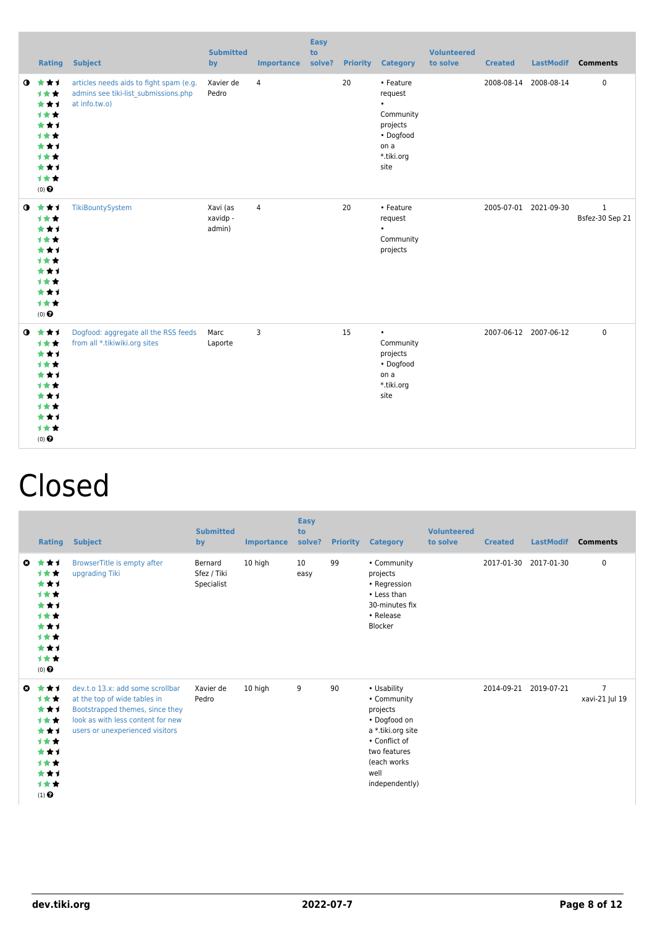|           |                                                                                                           | <b>Rating Subject</b>                                                                            | <b>Submitted</b><br>by         | <b>Importance</b> | <b>Easy</b><br>to<br>solve? |    | <b>Priority Category</b>                                                                              | <b>Volunteered</b><br>to solve | <b>Created</b> |                       | LastModif Comments              |
|-----------|-----------------------------------------------------------------------------------------------------------|--------------------------------------------------------------------------------------------------|--------------------------------|-------------------|-----------------------------|----|-------------------------------------------------------------------------------------------------------|--------------------------------|----------------|-----------------------|---------------------------------|
| $\bullet$ | ***<br>***<br>***<br>***<br>***<br>***<br>***<br>***<br>***<br>1★★<br>$(0)$ $\Theta$                      | articles needs aids to fight spam (e.g.<br>admins see tiki-list submissions.php<br>at info.tw.o) | Xavier de<br>Pedro             | $\overline{4}$    |                             | 20 | • Feature<br>request<br>$\bullet$<br>Community<br>projects<br>• Dogfood<br>on a<br>*.tiki.org<br>site |                                |                | 2008-08-14 2008-08-14 | $\pmb{0}$                       |
|           | $0$ $*$ $*$ $*$<br>***<br>***<br>***<br>***<br>***<br>***<br>***<br>***<br>1★★<br>$(0)$<br>$\pmb{\Theta}$ | TikiBountySystem                                                                                 | Xavi (as<br>xavidp -<br>admin) | $\overline{4}$    |                             | 20 | • Feature<br>request<br>$\bullet$<br>Community<br>projects                                            |                                |                | 2005-07-01 2021-09-30 | $\mathbf{1}$<br>Bsfez-30 Sep 21 |
|           | $0$ $*$ $*$ $*$<br>1★★<br>***<br>1★★<br>***<br>***<br>***<br>1★★<br>***<br>计女女<br>$(0)$ $\odot$           | Dogfood: aggregate all the RSS feeds<br>from all *.tikiwiki.org sites                            | Marc<br>Laporte                | 3                 |                             | 15 | $\bullet$<br>Community<br>projects<br>• Dogfood<br>on a<br>*.tiki.org<br>site                         |                                |                | 2007-06-12 2007-06-12 | $\mathbf 0$                     |

## Closed

|    | <b>Rating</b>                                                                       | <b>Subject</b>                                                                                                                                                              | <b>Submitted</b><br>by               | <b>Importance</b> | <b>Easy</b><br>to<br>solve? | <b>Priority</b> | <b>Category</b>                                                                                                                                       | <b>Volunteered</b><br>to solve | <b>Created</b> | <b>LastModif</b> | <b>Comments</b>                  |
|----|-------------------------------------------------------------------------------------|-----------------------------------------------------------------------------------------------------------------------------------------------------------------------------|--------------------------------------|-------------------|-----------------------------|-----------------|-------------------------------------------------------------------------------------------------------------------------------------------------------|--------------------------------|----------------|------------------|----------------------------------|
| o. | ***<br>计女女<br>***<br>***<br>***<br>***<br>***<br>***<br>***<br>计女女<br>$(0)$ $\odot$ | BrowserTitle is empty after<br>upgrading Tiki                                                                                                                               | Bernard<br>Sfez / Tiki<br>Specialist | 10 high           | 10<br>easy                  | 99              | • Community<br>projects<br>• Regression<br>• Less than<br>30-minutes fix<br>• Release<br>Blocker                                                      |                                | 2017-01-30     | 2017-01-30       | 0                                |
| O  | ***<br>***<br>***<br>***<br>***<br>计女女<br>***<br>***<br>***<br>计女女<br>$(1)$ $\odot$ | dev.t.o 13.x: add some scrollbar<br>at the top of wide tables in<br>Bootstrapped themes, since they<br>look as with less content for new<br>users or unexperienced visitors | Xavier de<br>Pedro                   | 10 high           | 9                           | 90              | • Usability<br>• Community<br>projects<br>• Dogfood on<br>a *.tiki.org site<br>• Conflict of<br>two features<br>(each works<br>well<br>independently) |                                | 2014-09-21     | 2019-07-21       | $\overline{7}$<br>xavi-21 Jul 19 |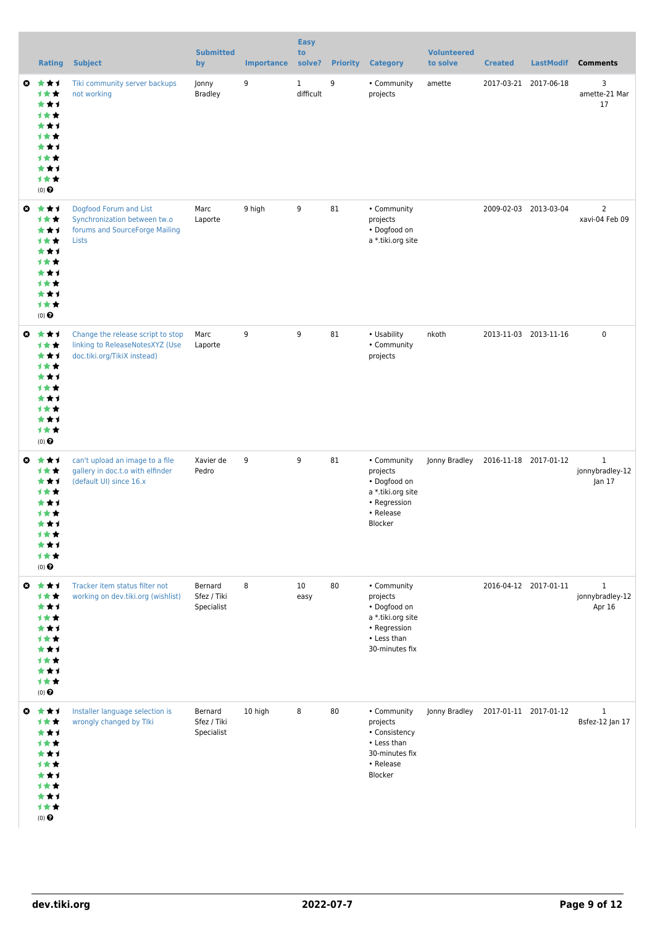|                       | <b>Rating</b>                                                                                       | <b>Subject</b>                                                                                      | <b>Submitted</b><br>by               | <b>Importance</b> | <b>Easy</b><br>to<br>solve? |    | <b>Priority Category</b>                                                                                      | <b>Volunteered</b><br>to solve      | <b>Created</b> | <b>LastModif</b>      | <b>Comments</b>                           |
|-----------------------|-----------------------------------------------------------------------------------------------------|-----------------------------------------------------------------------------------------------------|--------------------------------------|-------------------|-----------------------------|----|---------------------------------------------------------------------------------------------------------------|-------------------------------------|----------------|-----------------------|-------------------------------------------|
| ◒                     | ***<br>计女女<br>***<br>计女女<br>***<br>计女女<br>***<br>1★★<br>***<br>计女女<br>$(0)$ $\Theta$                | Tiki community server backups<br>not working                                                        | Jonny<br><b>Bradley</b>              | 9                 | $\mathbf{1}$<br>difficult   | 9  | • Community<br>projects                                                                                       | amette                              |                | 2017-03-21 2017-06-18 | 3<br>amette-21 Mar<br>17                  |
| ◒                     | ***<br>计女女<br>***<br>计女女<br>***<br>计女女<br>***<br>1★★<br>***<br>计女女<br>(0)                           | Dogfood Forum and List<br>Synchronization between tw.o<br>forums and SourceForge Mailing<br>Lists   | Marc<br>Laporte                      | 9 high            | 9                           | 81 | • Community<br>projects<br>• Dogfood on<br>a *.tiki.org site                                                  |                                     |                | 2009-02-03 2013-03-04 | $\overline{2}$<br>xavi-04 Feb 09          |
| ◒                     | ***<br>***<br>***<br>计女女<br>***<br><b>1★★</b><br>***<br>1★★<br>***<br>计女女<br>$(0)$ $\odot$          | Change the release script to stop<br>linking to ReleaseNotesXYZ (Use<br>doc.tiki.org/TikiX instead) | Marc<br>Laporte                      | 9                 | 9                           | 81 | • Usability<br>• Community<br>projects                                                                        | nkoth                               |                | 2013-11-03 2013-11-16 | $\pmb{0}$                                 |
| $\boldsymbol{\omega}$ | ***<br>计女女<br>***<br>计女女<br>***<br>计女女<br>***<br>计女女<br>★★1<br>1★★<br>$(0)$ $\odot$                 | can't upload an image to a file<br>gallery in doc.t.o with elfinder<br>(default UI) since 16.x      | Xavier de<br>Pedro                   | 9                 | 9                           | 81 | • Community<br>projects<br>• Dogfood on<br>a *.tiki.org site<br>• Regression<br>• Release<br>Blocker          | Jonny Bradley                       |                | 2016-11-18 2017-01-12 | $\mathbf{1}$<br>jonnybradley-12<br>Jan 17 |
| $\boldsymbol{\omega}$ | ***<br>计女女<br>***<br>计女女<br>***<br>计女女<br>***<br>计女女<br>***<br>计女女<br>(0)                           | Tracker item status filter not<br>working on dev.tiki.org (wishlist)                                | Bernard<br>Sfez / Tiki<br>Specialist | 8                 | 10<br>easy                  | 80 | • Community<br>projects<br>• Dogfood on<br>a *.tiki.org site<br>• Regression<br>• Less than<br>30-minutes fix |                                     |                | 2016-04-12 2017-01-11 | $\mathbf{1}$<br>jonnybradley-12<br>Apr 16 |
|                       | ◎ ★★1<br>计女女<br>***<br>计女女<br>***<br><b>1★★</b><br>***<br><b>1★★</b><br>***<br>计女女<br>$(0)$ $\odot$ | Installer language selection is<br>wrongly changed by Tlki                                          | Bernard<br>Sfez / Tiki<br>Specialist | 10 high           | 8                           | 80 | • Community<br>projects<br>• Consistency<br>• Less than<br>30-minutes fix<br>• Release<br>Blocker             | Jonny Bradley 2017-01-11 2017-01-12 |                |                       | $\mathbf{1}$<br>Bsfez-12 Jan 17           |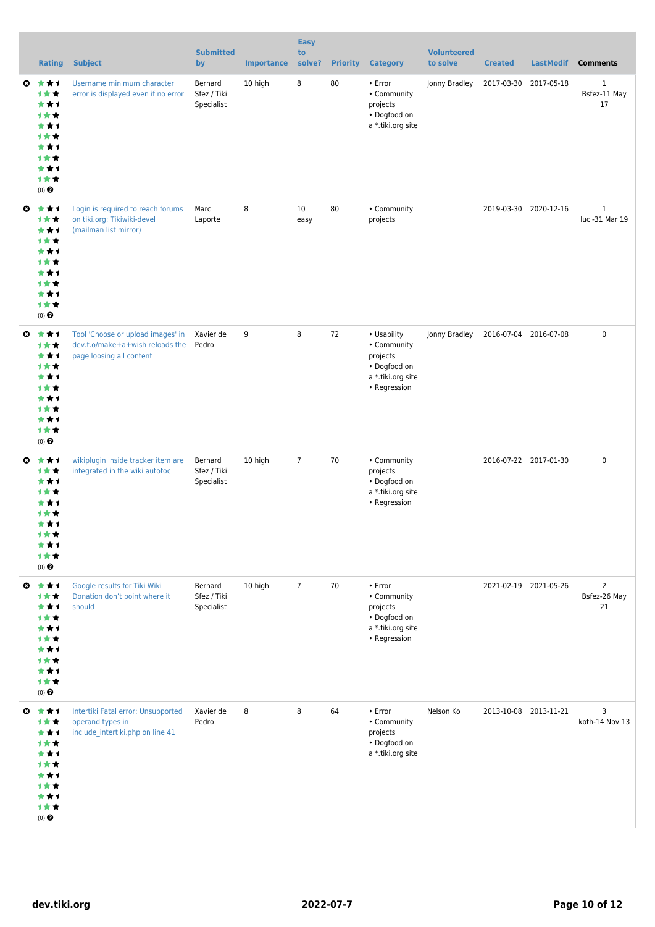|                       | <b>Rating</b>                                                                                     | <b>Subject</b>                                                                                   | <b>Submitted</b><br>by               | <b>Importance</b> | <b>Easy</b><br>to<br>solve? | <b>Priority</b> | <b>Category</b>                                                                               | <b>Volunteered</b><br>to solve | <b>Created</b>        | <b>LastModif</b>      | <b>Comments</b>                      |
|-----------------------|---------------------------------------------------------------------------------------------------|--------------------------------------------------------------------------------------------------|--------------------------------------|-------------------|-----------------------------|-----------------|-----------------------------------------------------------------------------------------------|--------------------------------|-----------------------|-----------------------|--------------------------------------|
| o.                    | ***<br>计女女<br>***<br>计女女<br>***<br>1★★<br>***<br>计女女<br>***<br>计女女<br>(0)                         | Username minimum character<br>error is displayed even if no error                                | Bernard<br>Sfez / Tiki<br>Specialist | 10 high           | 8                           | 80              | • Error<br>• Community<br>projects<br>• Dogfood on<br>a *.tiki.org site                       | Jonny Bradley                  | 2017-03-30            | 2017-05-18            | $\mathbf{1}$<br>Bsfez-11 May<br>17   |
| $\boldsymbol{\omega}$ | ***<br>***<br>***<br>计女女<br>***<br>计女女<br>***<br>计女女<br>***<br>计女女<br>(0)                         | Login is required to reach forums<br>on tiki.org: Tikiwiki-devel<br>(mailman list mirror)        | Marc<br>Laporte                      | 8                 | 10<br>easy                  | 80              | • Community<br>projects                                                                       |                                |                       | 2019-03-30 2020-12-16 | $\mathbf{1}$<br>luci-31 Mar 19       |
| $\boldsymbol{\omega}$ | ***<br>计女女<br>***<br>计女女<br>***<br><b>1★★</b><br>***<br><b>1★★</b><br>***<br>计女女<br>(0)           | Tool 'Choose or upload images' in<br>dev.t.o/make+a+wish reloads the<br>page loosing all content | Xavier de<br>Pedro                   | 9                 | 8                           | 72              | • Usability<br>• Community<br>projects<br>• Dogfood on<br>a *.tiki.org site<br>• Regression   | Jonny Bradley                  | 2016-07-04 2016-07-08 |                       | $\mathbf 0$                          |
| ◶                     | ***<br>计女女<br>***<br>计女女<br>***<br>计女女<br>***<br>计女女<br>★★1<br>计女女<br>$(0)$ $\pmb{\Theta}$        | wikiplugin inside tracker item are<br>integrated in the wiki autotoc                             | Bernard<br>Sfez / Tiki<br>Specialist | 10 high           | $\overline{7}$              | 70              | • Community<br>projects<br>• Dogfood on<br>a *.tiki.org site<br>• Regression                  |                                |                       | 2016-07-22 2017-01-30 | $\mathbf 0$                          |
| $\boldsymbol{\omega}$ | ***<br>计女女<br>***<br><b>1★★</b><br>***<br><b>1★★</b><br>***<br>计女女<br>***<br>计女女<br>$(0)$ $\odot$ | Google results for Tiki Wiki<br>Donation don't point where it<br>should                          | Bernard<br>Sfez / Tiki<br>Specialist | 10 high           | $\overline{7}$              | 70              | $\cdot$ Error<br>• Community<br>projects<br>• Dogfood on<br>a *.tiki.org site<br>• Regression |                                | 2021-02-19 2021-05-26 |                       | $\overline{2}$<br>Bsfez-26 May<br>21 |
|                       | ◎ ★★1<br>计女女<br>***<br>计女女<br>***<br><b>1★★</b><br>***<br>计女女<br>***<br>计女女<br>$(0)$ $\odot$      | Intertiki Fatal error: Unsupported<br>operand types in<br>include_intertiki.php on line 41       | Xavier de<br>Pedro                   | 8                 | 8                           | 64              | • Error<br>• Community<br>projects<br>• Dogfood on<br>a *.tiki.org site                       | Nelson Ko                      |                       | 2013-10-08 2013-11-21 | 3<br>koth-14 Nov 13                  |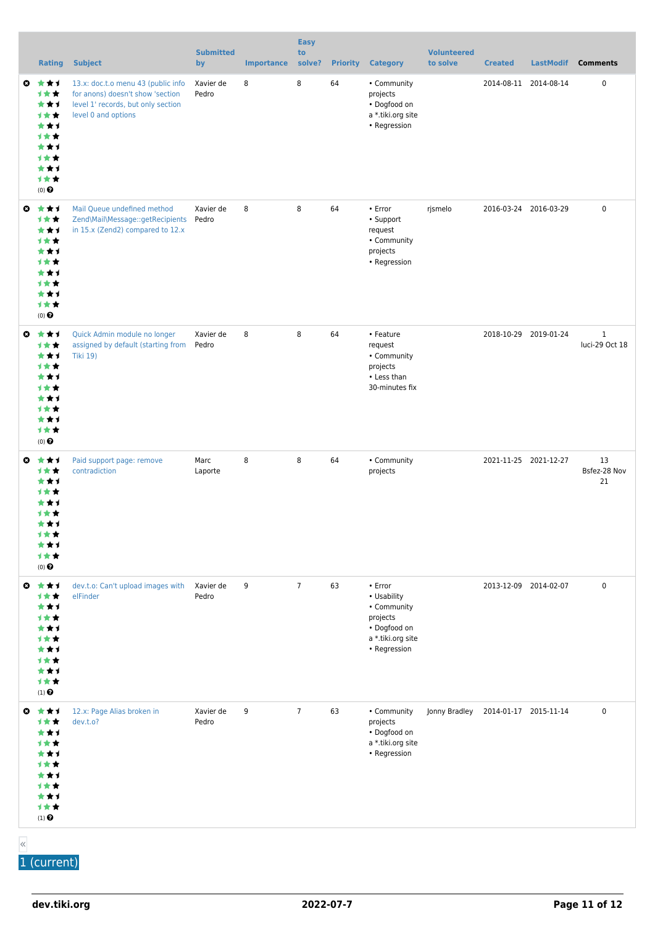|                       | <b>Rating</b>                                                                                             | <b>Subject</b>                                                                                                                      | <b>Submitted</b><br>by | <b>Importance</b> | <b>Easy</b><br>to<br>solve? | <b>Priority</b> | <b>Category</b>                                                                                        | <b>Volunteered</b><br>to solve | <b>Created</b>        | <b>LastModif</b> | <b>Comments</b>                |
|-----------------------|-----------------------------------------------------------------------------------------------------------|-------------------------------------------------------------------------------------------------------------------------------------|------------------------|-------------------|-----------------------------|-----------------|--------------------------------------------------------------------------------------------------------|--------------------------------|-----------------------|------------------|--------------------------------|
| ◒                     | ***<br>计女女<br>***<br>计女女<br>***<br>计女女<br>***<br>1★★<br>***<br>计女女<br>$(0)$ $\Theta$                      | 13.x: doc.t.o menu 43 (public info<br>for anons) doesn't show 'section<br>level 1' records, but only section<br>level 0 and options | Xavier de<br>Pedro     | 8                 | 8                           | 64              | • Community<br>projects<br>• Dogfood on<br>a *.tiki.org site<br>• Regression                           |                                | 2014-08-11 2014-08-14 |                  | 0                              |
| ◒                     | ***<br>***<br>***<br>计女女<br>***<br>计女女<br>***<br>1★★<br>***<br>计女女<br>(0)                                 | Mail Queue undefined method<br>Zend\Mail\Message::getRecipients<br>in 15.x (Zend2) compared to 12.x                                 | Xavier de<br>Pedro     | 8                 | 8                           | 64              | • Error<br>• Support<br>request<br>• Community<br>projects<br>• Regression                             | rjsmelo                        | 2016-03-24 2016-03-29 |                  | $\pmb{0}$                      |
| ◒                     | ***<br>1★★<br>***<br>计女女<br>***<br><b>1★★</b><br>***<br>1★★<br>***<br>计女女<br>$(0)$ $\Theta$               | Quick Admin module no longer<br>assigned by default (starting from<br><b>Tiki 19)</b>                                               | Xavier de<br>Pedro     | 8                 | 8                           | 64              | • Feature<br>request<br>• Community<br>projects<br>• Less than<br>30-minutes fix                       |                                | 2018-10-29 2019-01-24 |                  | $\mathbf{1}$<br>luci-29 Oct 18 |
| o.                    | ***<br>计女女<br>***<br><b>1★★</b><br>***<br>计女女<br>***<br>计女女<br>***<br>1★★<br>$(0)$ $\Theta$               | Paid support page: remove<br>contradiction                                                                                          | Marc<br>Laporte        | 8                 | 8                           | 64              | • Community<br>projects                                                                                |                                | 2021-11-25 2021-12-27 |                  | 13<br>Bsfez-28 Nov<br>21       |
| $\boldsymbol{\omega}$ | ***<br>***<br>***<br>计女女<br>***<br>计女女<br>***<br>计女女<br>***<br>计女女<br>$(1)$ <sup><math>\odot</math></sup> | dev.t.o: Can't upload images with<br>elFinder                                                                                       | Xavier de<br>Pedro     | 9                 | $\overline{7}$              | 63              | • Error<br>• Usability<br>• Community<br>projects<br>• Dogfood on<br>a *.tiki.org site<br>• Regression |                                | 2013-12-09 2014-02-07 |                  | $\pmb{0}$                      |
|                       | ◎ ★★1<br>计女女<br>***<br>计女女<br>***<br><b>1★★</b><br>***<br>计女女<br>***<br>计女女<br>$(1)$ $\odot$              | 12.x: Page Alias broken in<br>dev.t.o?                                                                                              | Xavier de<br>Pedro     | 9                 | $\overline{7}$              | 63              | • Community<br>projects<br>• Dogfood on<br>a *.tiki.org site<br>• Regression                           | Jonny Bradley                  | 2014-01-17 2015-11-14 |                  | 0                              |

«

1 (current)